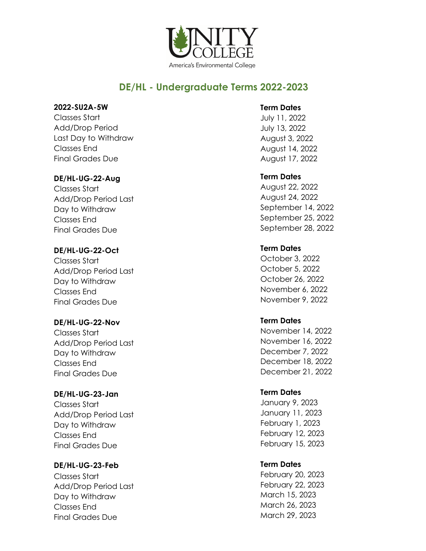

# **DE/HL - Undergraduate Terms 2022-2023**

#### **2022-SU2A-5W**

Classes Start Add/Drop Period Last Day to Withdraw Classes End Final Grades Due

### **DE/HL-UG-22-Aug**

Classes Start Add/Drop Period Last Day to Withdraw Classes End Final Grades Due

### **DE/HL-UG-22-Oct**

Classes Start Add/Drop Period Last Day to Withdraw Classes End Final Grades Due

## **DE/HL-UG-22-Nov**

Classes Start Add/Drop Period Last Day to Withdraw Classes End Final Grades Due

## **DE/HL-UG-23-Jan**

Classes Start Add/Drop Period Last Day to Withdraw Classes End Final Grades Due

## **DE/HL-UG-23-Feb**

Classes Start Add/Drop Period Last Day to Withdraw Classes End Final Grades Due

### **Term Dates**

July 11, 2022 July 13, 2022 August 3, 2022 August 14, 2022 August 17, 2022

## **Term Dates**

August 22, 2022 August 24, 2022 September 14, 2022 September 25, 2022 September 28, 2022

## **Term Dates**

October 3, 2022 October 5, 2022 October 26, 2022 November 6, 2022 November 9, 2022

## **Term Dates**

November 14, 2022 November 16, 2022 December 7, 2022 December 18, 2022 December 21, 2022

## **Term Dates**

January 9, 2023 January 11, 2023 February 1, 2023 February 12, 2023 February 15, 2023

## **Term Dates**

February 20, 2023 February 22, 2023 March 15, 2023 March 26, 2023 March 29, 2023